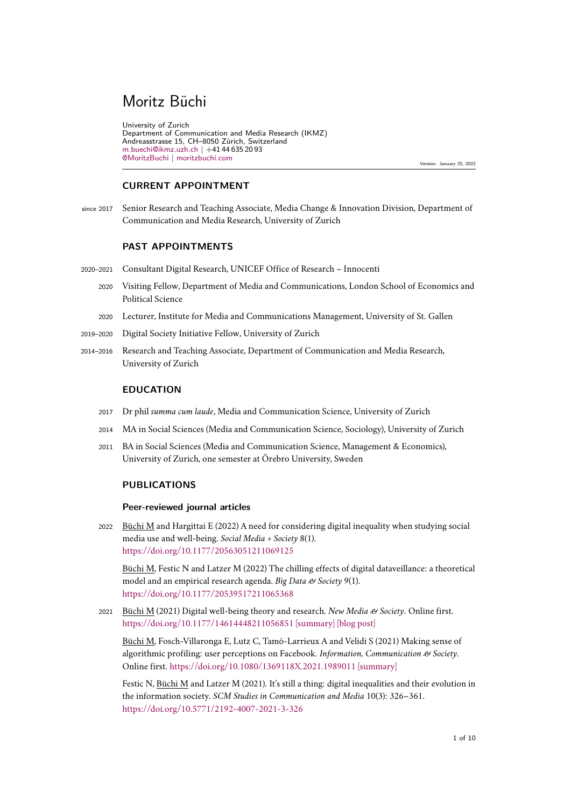# Moritz Büchi

University of Zurich Department of Communication and Media Research (IKMZ) Andreasstrasse 15, CH–8050 Zürich, Switzerland [m.buechi@ikmz.uzh.ch](mailto:m.buechi@ikmz.uzh.ch) | +41 44 635 20 93 [@MoritzBuchi](https://twitter.com/MoritzBuchi) | [moritzbuchi.com](http://moritzbuchi.com/)

Version: January 25, 2022

# **CURRENT APPOINTMENT**

since 2017 Senior Research and Teaching Associate, Media Change & Innovation Division, Department of Communication and Media Research, University of Zurich

# **PAST APPOINTMENTS**

- 2020–2021 Consultant Digital Research, UNICEF Office of Research Innocenti
	- 2020 Visiting Fellow, Department of Media and Communications, London School of Economics and Political Science
	- <sup>2020</sup> Lecturer, Institute for Media and Communications Management, University of St. Gallen
- 2019–2020 Digital Society Initiative Fellow, University of Zurich
- 2014–2016 Research and Teaching Associate, Department of Communication and Media Research, University of Zurich

#### **EDUCATION**

- <sup>2017</sup> Dr phil *summa cum laude*, Media and Communication Science, University of Zurich
- 2014 MA in Social Sciences (Media and Communication Science, Sociology), University of Zurich
- 2011 BA in Social Sciences (Media and Communication Science, Management & Economics), University of Zurich, one semester at Örebro University, Sweden

## **PUBLICATIONS**

#### **Peer-reviewed journal articles**

2022 Büchi M and Hargittai E (2022) A need for considering digital inequality when studying social media use and well-being. *Social Media + Society* 8(1). <https://doi.org/10.1177/20563051211069125>

Büchi M, Festic N and Latzer M (2022) The chilling effects of digital dataveillance: a theoretical model and an empirical research agenda. *Big Data & Society* 9(1). <https://doi.org/10.1177/20539517211065368>

<sup>2021</sup> Büchi M (2021) Digital well-being theory and research. *New Media & Society*. Online first. <https://doi.org/10.1177/14614448211056851> [\[summary\]](https://twitter.com/MoritzBuchi/status/1460626591575429127) [\[blog post\]](https://blogs.lse.ac.uk/medialse/2021/12/13/digital-media-are-neither-poison-nor-cure/)

Büchi M, Fosch-Villaronga E, Lutz C, Tamò-Larrieux A and Velidi S (2021) Making sense of algorithmic profiling: user perceptions on Facebook. *Information, Communication & Society*. Online first. <https://doi.org/10.1080/1369118X.2021.1989011> [\[summary\]](https://moritzbuchi.com/2021/10/21/making-sense-of-algorithmic-profiling/)

Festic N, Büchi M and Latzer M (2021). It's still a thing: digital inequalities and their evolution in the information society. *SCM Studies in Communication and Media* 10(3): 326–361. <https://doi.org/10.5771/2192-4007-2021-3-326>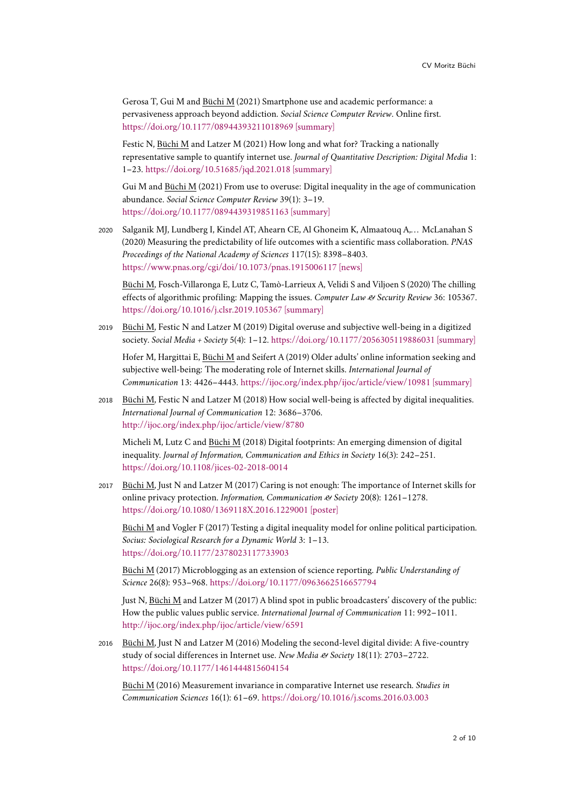Gerosa T, Gui M and Büchi M (2021) Smartphone use and academic performance: a pervasiveness approach beyond addiction. *Social Science Computer Review*. Online first. <https://doi.org/10.1177/08944393211018969> [\[summary\]](https://moritzbuchi.com/2020/12/17/smartphone-use-and-academic-performance-a-pervasiveness-approach-beyond-addiction/)

Festic N, Büchi M and Latzer M (2021) How long and what for? Tracking a nationally representative sample to quantify internet use. *Journal of Quantitative Description: Digital Media* 1: 1–23. <https://doi.org/10.51685/jqd.2021.018> [\[summary\]](https://moritzbuchi.com/2021/04/30/quantifying-internet-use/)

Gui M and Büchi M (2021) From use to overuse: Digital inequality in the age of communication abundance. *Social Science Computer Review* 39(1): 3–19. <https://doi.org/10.1177/0894439319851163> [\[summary\]](https://moritzbuchi.com/2019/09/24/summary-of-recent-publications#page-part)

2020 Salganik MJ, Lundberg I, Kindel AT, Ahearn CE, Al Ghoneim K, Almaatouq A,... McLanahan S (2020) Measuring the predictability of life outcomes with a scientific mass collaboration. *PNAS Proceedings of the National Academy of Sciences* 117(15): 8398–8403. <https://www.pnas.org/cgi/doi/10.1073/pnas.1915006117> [\[news\]](https://www.princeton.edu/news/2020/03/31/multi-year-datasets-suggest-projecting-outcomes-peoples-lives-ai-isnt-so-simple)

Büchi M, Fosch-Villaronga E, Lutz C, Tamò-Larrieux A, Velidi S and Viljoen S (2020) The chilling effects of algorithmic profiling: Mapping the issues. *Computer Law & Security Review* 36: 105367. <https://doi.org/10.1016/j.clsr.2019.105367> [\[summary\]](https://twitter.com/MoritzBuchi/status/1199715904671670272)

<sup>2019</sup> Büchi M, Festic N and Latzer M (2019) Digital overuse and subjective well-being in a digitized society. *Social Media + Society* 5(4): 1–12. <https://doi.org/10.1177/2056305119886031> [\[summary\]](https://twitter.com/MoritzBuchi/status/1205061675172405248)

Hofer M, Hargittai E, Büchi M and Seifert A (2019) Older adults' online information seeking and subjective well-being: The moderating role of Internet skills. *International Journal of Communication* 13: 4426–4443. <https://ijoc.org/index.php/ijoc/article/view/10981> [\[summary\]](https://moritzbuchi.com/2019/09/24/summary-of-recent-publications/)

2018 Büchi M, Festic N and Latzer M (2018) How social well-being is affected by digital inequalities. *International Journal of Communication* 12: 3686–3706. <http://ijoc.org/index.php/ijoc/article/view/8780>

Micheli M, Lutz C and Büchi M (2018) Digital footprints: An emerging dimension of digital inequality. *Journal of Information, Communication and Ethics in Society* 16(3): 242–251. <https://doi.org/10.1108/jices-02-2018-0014>

<sup>2017</sup> Büchi M, Just N and Latzer M (2017) Caring is not enough: The importance of Internet skills for online privacy protection. *Information, Communication & Society* 20(8): 1261–1278. <https://doi.org/10.1080/1369118X.2016.1229001> [\[poster\]](https://moritzbuchi.files.wordpress.com/2018/02/privacyposter_v11_print.pdf)

Büchi M and Vogler F (2017) Testing a digital inequality model for online political participation. *Socius: Sociological Research for a Dynamic World* 3: 1–13. <https://doi.org/10.1177/2378023117733903>

Büchi M (2017) Microblogging as an extension of science reporting. *Public Understanding of Science* 26(8): 953–968. <https://doi.org/10.1177/0963662516657794>

Just N, Büchi M and Latzer M (2017) A blind spot in public broadcasters' discovery of the public: How the public values public service. *International Journal of Communication* 11: 992–1011. <http://ijoc.org/index.php/ijoc/article/view/6591>

<sup>2016</sup> Büchi M, Just N and Latzer M (2016) Modeling the second-level digital divide: A five-country study of social differences in Internet use. *New Media & Society* 18(11): 2703–2722. <https://doi.org/10.1177/1461444815604154>

Büchi M (2016) Measurement invariance in comparative Internet use research. *Studies in Communication Sciences* 16(1): 61–69. <https://doi.org/10.1016/j.scoms.2016.03.003>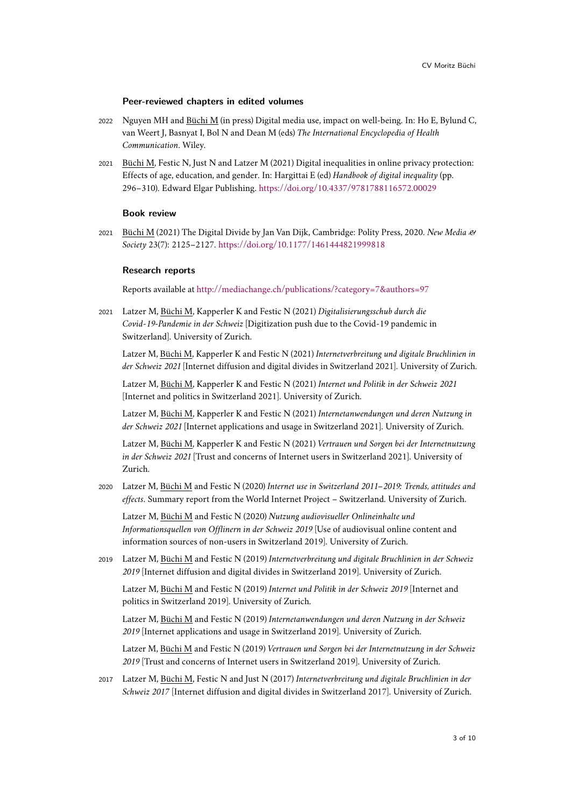#### **Peer-reviewed chapters in edited volumes**

- 2022 Nguyen MH and Büchi M (in press) Digital media use, impact on well-being. In: Ho E, Bylund C, van Weert J, Basnyat I, Bol N and Dean M (eds) *The International Encyclopedia of Health Communication*. Wiley.
- 2021 Büchi M, Festic N, Just N and Latzer M (2021) Digital inequalities in online privacy protection: Effects of age, education, and gender. In: Hargittai E (ed) *Handbook of digital inequality* (pp. 296–310). Edward Elgar Publishing. <https://doi.org/10.4337/9781788116572.00029>

#### **Book review**

<sup>2021</sup> Büchi M (2021) The Digital Divide by Jan Van Dijk, Cambridge: Polity Press, 2020. *New Media & Society* 23(7): 2125–2127. <https://doi.org/10.1177/1461444821999818>

#### **Research reports**

Reports available at <http://mediachange.ch/publications/?category=7&authors=97>

<sup>2021</sup> Latzer M, Büchi M, Kapperler K and Festic N (2021) *Digitalisierungsschub durch die Covid-19-Pandemie in der Schweiz* [Digitization push due to the Covid-19 pandemic in Switzerland]. University of Zurich.

Latzer M, Büchi M, Kapperler K and Festic N (2021) *Internetverbreitung und digitale Bruchlinien in der Schweiz 2021* [Internet diffusion and digital divides in Switzerland 2021]. University of Zurich.

Latzer M, Büchi M, Kapperler K and Festic N (2021) *Internet und Politik in der Schweiz 2021* [Internet and politics in Switzerland 2021]. University of Zurich.

Latzer M, Büchi M, Kapperler K and Festic N (2021) *Internetanwendungen und deren Nutzung in der Schweiz 2021* [Internet applications and usage in Switzerland 2021]. University of Zurich.

Latzer M, Büchi M, Kapperler K and Festic N (2021) *Vertrauen und Sorgen bei der Internetnutzung in der Schweiz 2021* [Trust and concerns of Internet users in Switzerland 2021]. University of Zurich.

<sup>2020</sup> Latzer M, Büchi M and Festic N (2020) *Internet use in Switzerland 2011–2019: Trends, attitudes and effects*. Summary report from the World Internet Project – Switzerland. University of Zurich.

Latzer M, Büchi M and Festic N (2020) *Nutzung audiovisueller Onlineinhalte und Informationsquellen von Offlinern in der Schweiz 2019* [Use of audiovisual online content and information sources of non-users in Switzerland 2019]. University of Zurich.

<sup>2019</sup> Latzer M, Büchi M and Festic N (2019) *Internetverbreitung und digitale Bruchlinien in der Schweiz 2019* [Internet diffusion and digital divides in Switzerland 2019]. University of Zurich.

Latzer M, Büchi M and Festic N (2019) *Internet und Politik in der Schweiz 2019* [Internet and politics in Switzerland 2019]. University of Zurich.

Latzer M, Büchi M and Festic N (2019) *Internetanwendungen und deren Nutzung in der Schweiz 2019* [Internet applications and usage in Switzerland 2019]. University of Zurich.

Latzer M, Büchi M and Festic N (2019) *Vertrauen und Sorgen bei der Internetnutzung in der Schweiz 2019* [Trust and concerns of Internet users in Switzerland 2019]. University of Zurich.

<sup>2017</sup> Latzer M, Büchi M, Festic N and Just N (2017) *Internetverbreitung und digitale Bruchlinien in der Schweiz 2017* [Internet diffusion and digital divides in Switzerland 2017]. University of Zurich.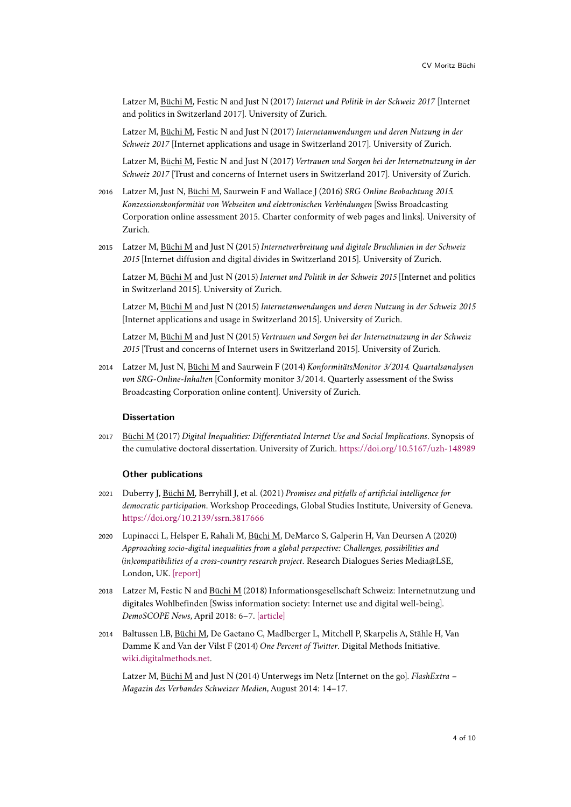Latzer M, Büchi M, Festic N and Just N (2017) *Internet und Politik in der Schweiz 2017* [Internet and politics in Switzerland 2017]. University of Zurich.

Latzer M, Büchi M, Festic N and Just N (2017) *Internetanwendungen und deren Nutzung in der Schweiz 2017* [Internet applications and usage in Switzerland 2017]. University of Zurich.

Latzer M, Büchi M, Festic N and Just N (2017) *Vertrauen und Sorgen bei der Internetnutzung in der Schweiz 2017* [Trust and concerns of Internet users in Switzerland 2017]. University of Zurich.

- <sup>2016</sup> Latzer M, Just N, Büchi M, Saurwein F and Wallace J (2016) *SRG Online Beobachtung 2015. Konzessionskonformität von Webseiten und elektronischen Verbindungen* [Swiss Broadcasting Corporation online assessment 2015. Charter conformity of web pages and links]. University of Zurich.
- <sup>2015</sup> Latzer M, Büchi M and Just N (2015) *Internetverbreitung und digitale Bruchlinien in der Schweiz 2015* [Internet diffusion and digital divides in Switzerland 2015]. University of Zurich.

Latzer M, Büchi M and Just N (2015) *Internet und Politik in der Schweiz 2015* [Internet and politics in Switzerland 2015]. University of Zurich.

Latzer M, Büchi M and Just N (2015) *Internetanwendungen und deren Nutzung in der Schweiz 2015* [Internet applications and usage in Switzerland 2015]. University of Zurich.

Latzer M, Büchi M and Just N (2015) *Vertrauen und Sorgen bei der Internetnutzung in der Schweiz 2015* [Trust and concerns of Internet users in Switzerland 2015]. University of Zurich.

<sup>2014</sup> Latzer M, Just N, Büchi M and Saurwein F (2014) *KonformitätsMonitor 3/2014. Quartalsanalysen von SRG-Online-Inhalten* [Conformity monitor 3/2014. Quarterly assessment of the Swiss Broadcasting Corporation online content]. University of Zurich.

# **Dissertation**

<sup>2017</sup> Büchi M (2017) *Digital Inequalities: Differentiated Internet Use and Social Implications*. Synopsis of the cumulative doctoral dissertation. University of Zurich. <https://doi.org/10.5167/uzh-148989>

#### **Other publications**

- <sup>2021</sup> Duberry J, Büchi M, Berryhill J, et al. (2021) *Promises and pitfalls of artificial intelligence for democratic participation*. Workshop Proceedings, Global Studies Institute, University of Geneva. <https://doi.org/10.2139/ssrn.3817666>
- 2020 Lupinacci L, Helsper E, Rahali M, Büchi M, DeMarco S, Galperin H, Van Deursen A (2020) *Approaching socio-digital inequalities from a global perspective: Challenges, possibilities and (in)compatibilities of a cross-country research project*. Research Dialogues Series Media@LSE, London, UK. [\[report\]](http://www.lse.ac.uk/media-and-communications/assets/documents/research/projects/disto/DiSTOreport-approaching-final.pdf)
- <sup>2018</sup> Latzer M, Festic N and Büchi M (2018) Informationsgesellschaft Schweiz: Internetnutzung und digitales Wohlbefinden [Swiss information society: Internet use and digital well-being]. *DemoSCOPE News*, April 2018: 6–7. [\[article\]](http://mediachange.ch/media//pdf/publications/2018_01_demoscope_news_03.pdf)
- <sup>2014</sup> Baltussen LB, Büchi M, De Gaetano C, Madlberger L, Mitchell P, Skarpelis A, Stähle H, Van Damme K and Van der Vilst F (2014) *One Percent of Twitter*. Digital Methods Initiative. [wiki.digitalmethods.net.](http://wiki.digitalmethods.net/Dmi/DmiSummer2014GeotagsTextAnalysisAndEventProfiling)

Latzer M, Büchi M and Just N (2014) Unterwegs im Netz [Internet on the go]. *FlashExtra – Magazin des Verbandes Schweizer Medien*, August 2014: 14–17.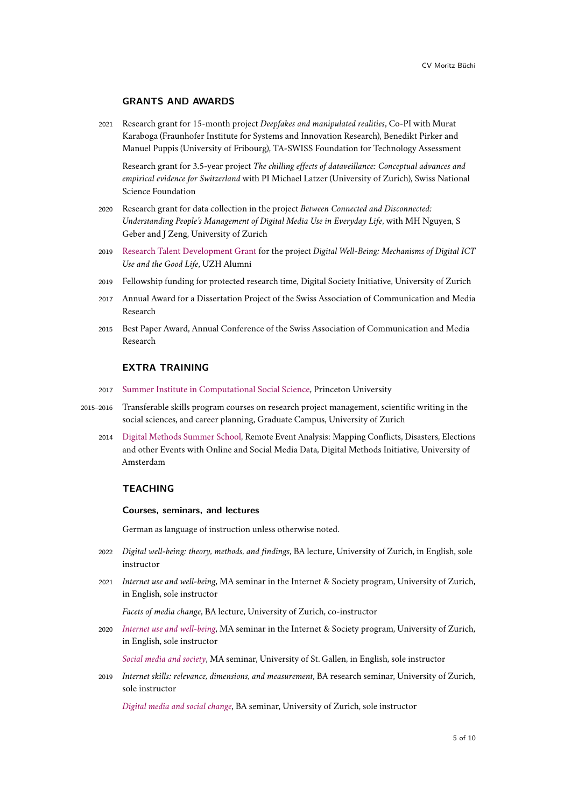## **GRANTS AND AWARDS**

<sup>2021</sup> Research grant for 15-month project *Deepfakes and manipulated realities*, Co-PI with Murat Karaboga (Fraunhofer Institute for Systems and Innovation Research), Benedikt Pirker and Manuel Puppis (University of Fribourg), TA-SWISS Foundation for Technology Assessment

Research grant for 3.5-year project *The chilling effects of dataveillance: Conceptual advances and empirical evidence for Switzerland* with PI Michael Latzer (University of Zurich), Swiss National Science Foundation

- <sup>2020</sup> Research grant for data collection in the project *Between Connected and Disconnected: Understanding People's Management of Digital Media Use in Everyday Life*, with MH Nguyen, S Geber and J Zeng, University of Zurich
- <sup>2019</sup> [Research Talent Development Grant](https://www.fan4talents.uzh.ch/de/talente/2019.html) for the project *Digital Well-Being: Mechanisms of Digital ICT Use and the Good Life*, UZH Alumni
- 2019 Fellowship funding for protected research time, Digital Society Initiative, University of Zurich
- 2017 Annual Award for a Dissertation Project of the Swiss Association of Communication and Media Research
- 2015 Best Paper Award, Annual Conference of the Swiss Association of Communication and Media Research

# **EXTRA TRAINING**

- 2017 [Summer Institute in Computational Social Science,](https://compsocialscience.github.io/summer-institute/2017/princeton/people) Princeton University
- 2015–2016 Transferable skills program courses on research project management, scientific writing in the social sciences, and career planning, Graduate Campus, University of Zurich
	- 2014 [Digital Methods Summer School,](https://wiki.digitalmethods.net/Dmi/DmiAbout) Remote Event Analysis: Mapping Conflicts, Disasters, Elections and other Events with Online and Social Media Data, Digital Methods Initiative, University of Amsterdam

#### **TEACHING**

#### **Courses, seminars, and lectures**

German as language of instruction unless otherwise noted.

- <sup>2022</sup> *Digital well-being: theory, methods, and findings*, BA lecture, University of Zurich, in English, sole instructor
- <sup>2021</sup> *Internet use and well-being*, MA seminar in the Internet & Society program, University of Zurich, in English, sole instructor

*Facets of media change*, BA lecture, University of Zurich, co-instructor

<sup>2020</sup> *[Internet use and well-being](https://moritzbuchi.files.wordpress.com/2020/11/iuwb_syllabus.pdf)*, MA seminar in the Internet & Society program, University of Zurich, in English, sole instructor

*[Social media and society](https://moritzbuchi.com/teaching/sms/)*, MA seminar, University of St. Gallen, in English, sole instructor

<sup>2019</sup> *Internet skills: relevance, dimensions, and measurement*, BA research seminar, University of Zurich, sole instructor

*[Digital media and social change](https://moritzbuchi.com/teaching/dmsw/)*, BA seminar, University of Zurich, sole instructor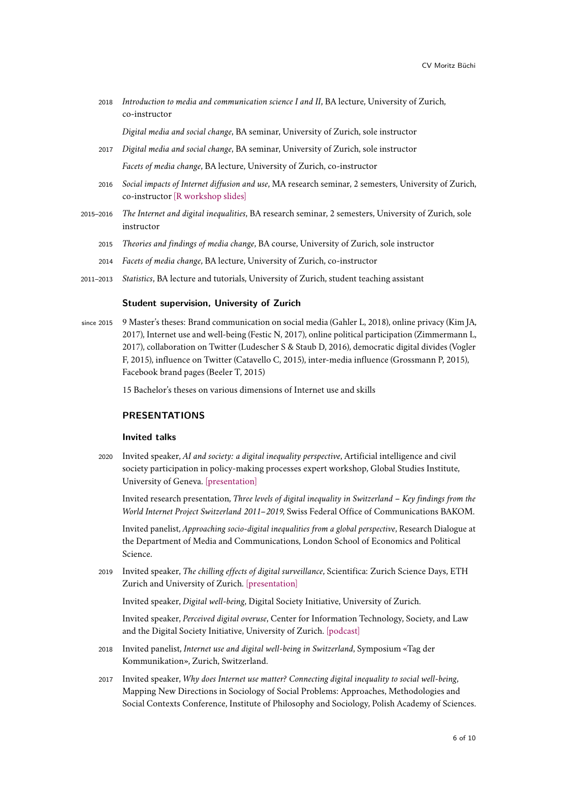<sup>2018</sup> *Introduction to media and communication science I and II*, BA lecture, University of Zurich, co-instructor

*Digital media and social change*, BA seminar, University of Zurich, sole instructor

- <sup>2017</sup> *Digital media and social change*, BA seminar, University of Zurich, sole instructor *Facets of media change*, BA lecture, University of Zurich, co-instructor
- <sup>2016</sup> *Social impacts of Internet diffusion and use*, MA research seminar, 2 semesters, University of Zurich, co-instructor [\[R workshop slides\]](https://moritzbuchi.files.wordpress.com/2019/04/sem-r.pdf)
- 2015–2016 *The Internet and digital inequalities*, BA research seminar, 2 semesters, University of Zurich, sole instructor
	- <sup>2015</sup> *Theories and findings of media change*, BA course, University of Zurich, sole instructor
	- <sup>2014</sup> *Facets of media change*, BA lecture, University of Zurich, co-instructor
- 2011–2013 *Statistics*, BA lecture and tutorials, University of Zurich, student teaching assistant

#### **Student supervision, University of Zurich**

since 2015 9 Master's theses: Brand communication on social media (Gahler L, 2018), online privacy (Kim JA, 2017), Internet use and well-being (Festic N, 2017), online political participation (Zimmermann L, 2017), collaboration on Twitter (Ludescher S & Staub D, 2016), democratic digital divides (Vogler F, 2015), influence on Twitter (Catavello C, 2015), inter-media influence (Grossmann P, 2015), Facebook brand pages (Beeler T, 2015)

15 Bachelor's theses on various dimensions of Internet use and skills

# **PRESENTATIONS**

## **Invited talks**

<sup>2020</sup> Invited speaker, *AI and society: a digital inequality perspective*, Artificial intelligence and civil society participation in policy-making processes expert workshop, Global Studies Institute, University of Geneva. [\[presentation\]](https://www.researchgate.net/publication/349765091_Artificial_Intelligence_for_Civil_Society_Participation_in_Policy-Making_A_Digital_Inequality_Perspective)

Invited research presentation, *Three levels of digital inequality in Switzerland – Key findings from the World Internet Project Switzerland 2011–2019*, Swiss Federal Office of Communications BAKOM.

Invited panelist, *Approaching socio-digital inequalities from a global perspective*, Research Dialogue at the Department of Media and Communications, London School of Economics and Political Science.

<sup>2019</sup> Invited speaker, *The chilling effects of digital surveillance*, Scientifica: Zurich Science Days, ETH Zurich and University of Zurich. [\[presentation\]](https://doi.org/10.13140/RG.2.2.27151.33446)

Invited speaker, *Digital well-being*, Digital Society Initiative, University of Zurich.

Invited speaker, *Perceived digital overuse*, Center for Information Technology, Society, and Law and the Digital Society Initiative, University of Zurich. [\[podcast\]](https://www.itsl.uzh.ch/de/Podcast.html)

- <sup>2018</sup> Invited panelist, *Internet use and digital well-being in Switzerland*, Symposium «Tag der Kommunikation», Zurich, Switzerland.
- <sup>2017</sup> Invited speaker, *Why does Internet use matter? Connecting digital inequality to social well-being*, Mapping New Directions in Sociology of Social Problems: Approaches, Methodologies and Social Contexts Conference, Institute of Philosophy and Sociology, Polish Academy of Sciences.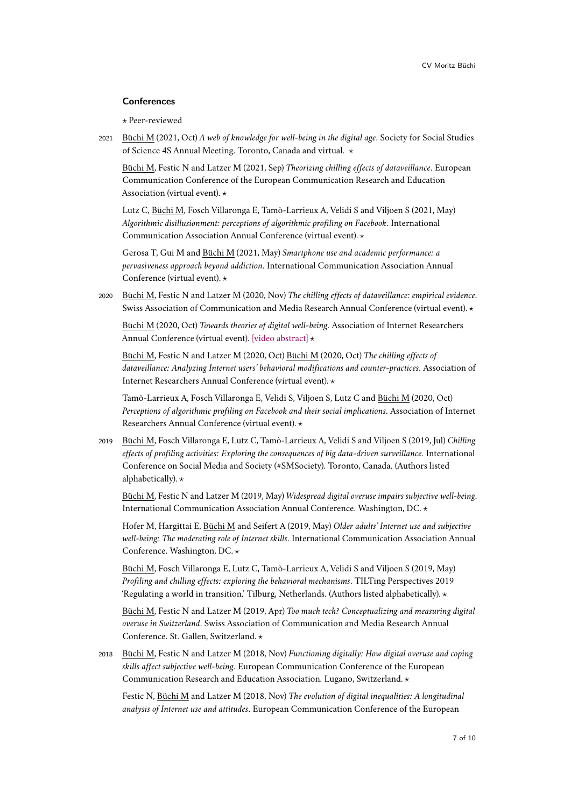## **Conferences**

*?* Peer-reviewed

<sup>2021</sup> Büchi M (2021, Oct) *A web of knowledge for well-being in the digital age*. Society for Social Studies of Science 4S Annual Meeting. Toronto, Canada and virtual.  $\star$ 

Büchi M, Festic N and Latzer M (2021, Sep) *Theorizing chilling effects of dataveillance*. European Communication Conference of the European Communication Research and Education Association (virtual event).  $\star$ 

Lutz C, Büchi M, Fosch Villaronga E, Tamò-Larrieux A, Velidi S and Viljoen S (2021, May) *Algorithmic disillusionment: perceptions of algorithmic profiling on Facebook*. International Communication Association Annual Conference (virtual event). *?*

Gerosa T, Gui M and Büchi M (2021, May) *Smartphone use and academic performance: a pervasiveness approach beyond addiction*. International Communication Association Annual Conference (virtual event).  $\star$ 

<sup>2020</sup> Büchi M, Festic N and Latzer M (2020, Nov) *The chilling effects of dataveillance: empirical evidence*. Swiss Association of Communication and Media Research Annual Conference (virtual event). *?*

Büchi M (2020, Oct) *Towards theories of digital well-being*. Association of Internet Researchers Annual Conference (virtual event). [\[video abstract\]](https://www.youtube.com/watch?v=d-GwpXr5Vio)  $\star$ 

Büchi M, Festic N and Latzer M (2020, Oct) Büchi M (2020, Oct) *The chilling effects of dataveillance: Analyzing Internet users' behavioral modifications and counter-practices*. Association of Internet Researchers Annual Conference (virtual event).  $\star$ 

Tamò-Larrieux A, Fosch Villaronga E, Velidi S, Viljoen S, Lutz C and Büchi M (2020, Oct) *Perceptions of algorithmic profiling on Facebook and their social implications*. Association of Internet Researchers Annual Conference (virtual event).  $\star$ 

<sup>2019</sup> Büchi M, Fosch Villaronga E, Lutz C, Tamò-Larrieux A, Velidi S and Viljoen S (2019, Jul) *Chilling effects of profiling activities: Exploring the consequences of big data-driven surveillance*. International Conference on Social Media and Society (#SMSociety). Toronto, Canada. (Authors listed alphabetically).  $\star$ 

Büchi M, Festic N and Latzer M (2019, May) *Widespread digital overuse impairs subjective well-being*. International Communication Association Annual Conference. Washington, DC.  $\star$ 

Hofer M, Hargittai E, Büchi M and Seifert A (2019, May) *Older adults' Internet use and subjective well-being: The moderating role of Internet skills*. International Communication Association Annual Conference. Washington, DC.  $\star$ 

Büchi M, Fosch Villaronga E, Lutz C, Tamò-Larrieux A, Velidi S and Viljoen S (2019, May) *Profiling and chilling effects: exploring the behavioral mechanisms*. TILTing Perspectives 2019 'Regulating a world in transition.' Tilburg, Netherlands. (Authors listed alphabetically).  $\star$ 

Büchi M, Festic N and Latzer M (2019, Apr) *Too much tech? Conceptualizing and measuring digital overuse in Switzerland*. Swiss Association of Communication and Media Research Annual Conference. St. Gallen, Switzerland. *?*

<sup>2018</sup> Büchi M, Festic N and Latzer M (2018, Nov) *Functioning digitally: How digital overuse and coping skills affect subjective well-being*. European Communication Conference of the European Communication Research and Education Association. Lugano, Switzerland. *?*

Festic N, Büchi M and Latzer M (2018, Nov) *The evolution of digital inequalities: A longitudinal analysis of Internet use and attitudes*. European Communication Conference of the European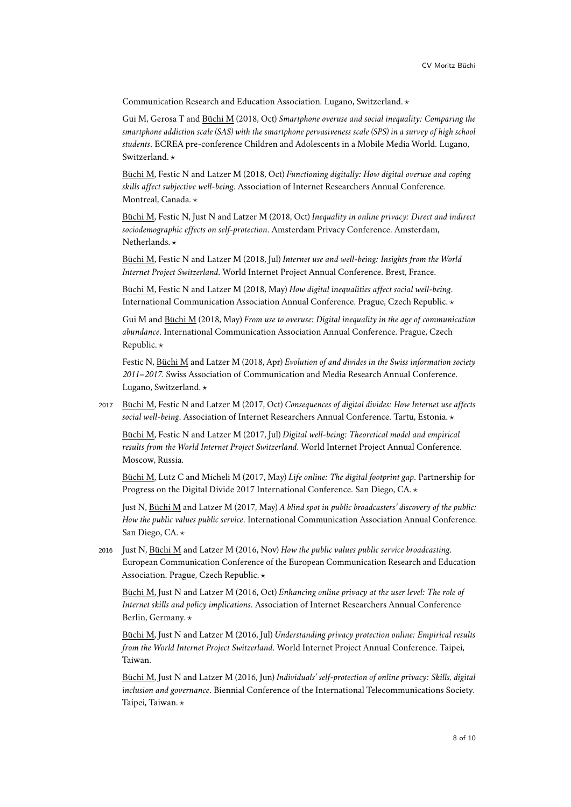Communication Research and Education Association. Lugano, Switzerland. *?*

Gui M, Gerosa T and Büchi M (2018, Oct) *Smartphone overuse and social inequality: Comparing the smartphone addiction scale (SAS) with the smartphone pervasiveness scale (SPS) in a survey of high school students*. ECREA pre-conference Children and Adolescents in a Mobile Media World. Lugano, Switzerland. **\*** 

Büchi M, Festic N and Latzer M (2018, Oct) *Functioning digitally: How digital overuse and coping skills affect subjective well-being*. Association of Internet Researchers Annual Conference. Montreal, Canada. \*

Büchi M, Festic N, Just N and Latzer M (2018, Oct) *Inequality in online privacy: Direct and indirect sociodemographic effects on self-protection*. Amsterdam Privacy Conference. Amsterdam, Netherlands. **\*** 

Büchi M, Festic N and Latzer M (2018, Jul) *Internet use and well-being: Insights from the World Internet Project Switzerland*. World Internet Project Annual Conference. Brest, France.

Büchi M, Festic N and Latzer M (2018, May) *How digital inequalities affect social well-being*. International Communication Association Annual Conference. Prague, Czech Republic. *?*

Gui M and Büchi M (2018, May) *From use to overuse: Digital inequality in the age of communication abundance*. International Communication Association Annual Conference. Prague, Czech Republic.  $\star$ 

Festic N, Büchi M and Latzer M (2018, Apr) *Evolution of and divides in the Swiss information society 2011–2017*. Swiss Association of Communication and Media Research Annual Conference. Lugano, Switzerland. **\*** 

<sup>2017</sup> Büchi M, Festic N and Latzer M (2017, Oct) *Consequences of digital divides: How Internet use affects social well-being*. Association of Internet Researchers Annual Conference. Tartu, Estonia. *?*

Büchi M, Festic N and Latzer M (2017, Jul) *Digital well-being: Theoretical model and empirical results from the World Internet Project Switzerland*. World Internet Project Annual Conference. Moscow, Russia.

Büchi M, Lutz C and Micheli M (2017, May) *Life online: The digital footprint gap*. Partnership for Progress on the Digital Divide 2017 International Conference. San Diego, CA. *?*

Just N, Büchi M and Latzer M (2017, May) *A blind spot in public broadcasters' discovery of the public: How the public values public service*. International Communication Association Annual Conference. San Diego, CA.  $\star$ 

<sup>2016</sup> Just N, Büchi M and Latzer M (2016, Nov) *How the public values public service broadcasting*. European Communication Conference of the European Communication Research and Education Association. Prague, Czech Republic. *?*

Büchi M, Just N and Latzer M (2016, Oct) *Enhancing online privacy at the user level: The role of Internet skills and policy implications*. Association of Internet Researchers Annual Conference Berlin, Germany. \*

Büchi M, Just N and Latzer M (2016, Jul) *Understanding privacy protection online: Empirical results from the World Internet Project Switzerland*. World Internet Project Annual Conference. Taipei, Taiwan.

Büchi M, Just N and Latzer M (2016, Jun) *Individuals' self-protection of online privacy: Skills, digital inclusion and governance*. Biennial Conference of the International Telecommunications Society. Taipei, Taiwan. \*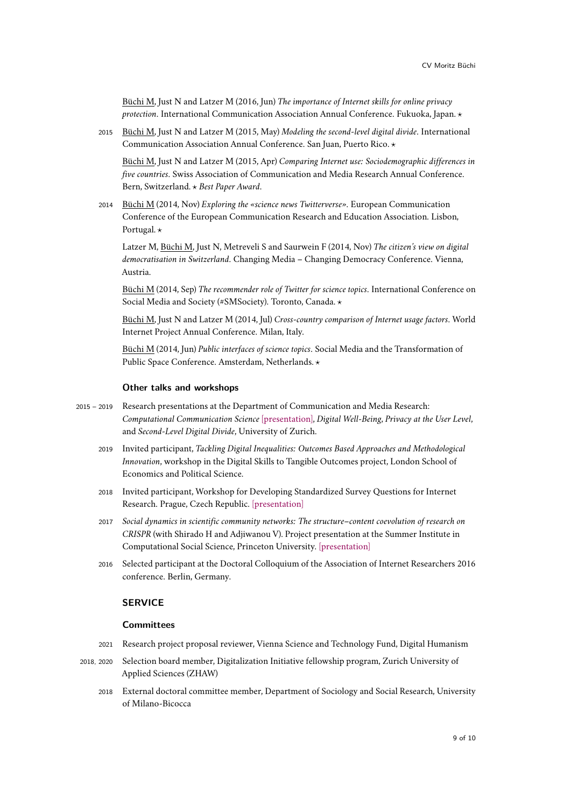Büchi M, Just N and Latzer M (2016, Jun) *The importance of Internet skills for online privacy protection*. International Communication Association Annual Conference. Fukuoka, Japan. *?*

<sup>2015</sup> Büchi M, Just N and Latzer M (2015, May) *Modeling the second-level digital divide*. International Communication Association Annual Conference. San Juan, Puerto Rico. *?*

Büchi M, Just N and Latzer M (2015, Apr) *Comparing Internet use: Sociodemographic differences in five countries*. Swiss Association of Communication and Media Research Annual Conference. Bern, Switzerland. *? Best Paper Award*.

<sup>2014</sup> Büchi M (2014, Nov) *Exploring the «science news Twitterverse»*. European Communication Conference of the European Communication Research and Education Association. Lisbon, Portugal.  $\star$ 

Latzer M, Büchi M, Just N, Metreveli S and Saurwein F (2014, Nov) *The citizen's view on digital democratisation in Switzerland*. Changing Media – Changing Democracy Conference. Vienna, Austria.

Büchi M (2014, Sep) *The recommender role of Twitter for science topics*. International Conference on Social Media and Society (#SMSociety). Toronto, Canada.  $\star$ 

Büchi M, Just N and Latzer M (2014, Jul) *Cross-country comparison of Internet usage factors*. World Internet Project Annual Conference. Milan, Italy.

Büchi M (2014, Jun) *Public interfaces of science topics*. Social Media and the Transformation of Public Space Conference. Amsterdam, Netherlands. **\*** 

#### **Other talks and workshops**

- 2015 2019 Research presentations at the Department of Communication and Media Research: *Computational Communication Science* [\[presentation\],](https://moritzbuchi.files.wordpress.com/2019/05/bc3bcchi_computational.pdf) *Digital Well-Being*, *Privacy at the User Level*, and *Second-Level Digital Divide*, University of Zurich.
	- <sup>2019</sup> Invited participant, *Tackling Digital Inequalities: Outcomes Based Approaches and Methodological Innovation*, workshop in the Digital Skills to Tangible Outcomes project, London School of Economics and Political Science.
	- 2018 Invited participant, Workshop for Developing Standardized Survey Questions for Internet Research. Prague, Czech Republic. [\[presentation\]](https://moritzbuchi.files.wordpress.com/2019/02/surveyworkshop_buchi.pdf)
	- 2017 *Social dynamics in scientific community networks: The structure–content coevolution of research on CRISPR* (with Shirado H and Adjiwanou V). Project presentation at the Summer Institute in Computational Social Science, Princeton University. [\[presentation\]](https://moritzbuchi.files.wordpress.com/2019/02/project_crispr_hiro_moritz_visseho_final.pdf)
	- <sup>2016</sup> Selected participant at the Doctoral Colloquium of the Association of Internet Researchers 2016 conference. Berlin, Germany.

# **SERVICE**

## **Committees**

- <sup>2021</sup> Research project proposal reviewer, Vienna Science and Technology Fund, Digital Humanism
- 2018, 2020 Selection board member, Digitalization Initiative fellowship program, Zurich University of Applied Sciences (ZHAW)
	- <sup>2018</sup> External doctoral committee member, Department of Sociology and Social Research, University of Milano-Bicocca